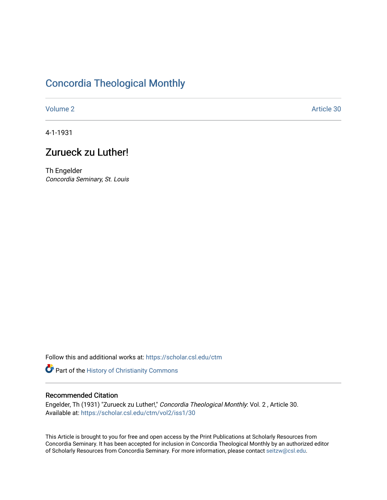# [Concordia Theological Monthly](https://scholar.csl.edu/ctm)

[Volume 2](https://scholar.csl.edu/ctm/vol2) Article 30

4-1-1931

## Zurueck zu Luther!

Th Engelder Concordia Seminary, St. Louis

Follow this and additional works at: [https://scholar.csl.edu/ctm](https://scholar.csl.edu/ctm?utm_source=scholar.csl.edu%2Fctm%2Fvol2%2Fiss1%2F30&utm_medium=PDF&utm_campaign=PDFCoverPages)

Part of the [History of Christianity Commons](http://network.bepress.com/hgg/discipline/1182?utm_source=scholar.csl.edu%2Fctm%2Fvol2%2Fiss1%2F30&utm_medium=PDF&utm_campaign=PDFCoverPages) 

## Recommended Citation

Engelder, Th (1931) "Zurueck zu Luther!," Concordia Theological Monthly: Vol. 2, Article 30. Available at: [https://scholar.csl.edu/ctm/vol2/iss1/30](https://scholar.csl.edu/ctm/vol2/iss1/30?utm_source=scholar.csl.edu%2Fctm%2Fvol2%2Fiss1%2F30&utm_medium=PDF&utm_campaign=PDFCoverPages)

This Article is brought to you for free and open access by the Print Publications at Scholarly Resources from Concordia Seminary. It has been accepted for inclusion in Concordia Theological Monthly by an authorized editor of Scholarly Resources from Concordia Seminary. For more information, please contact [seitzw@csl.edu](mailto:seitzw@csl.edu).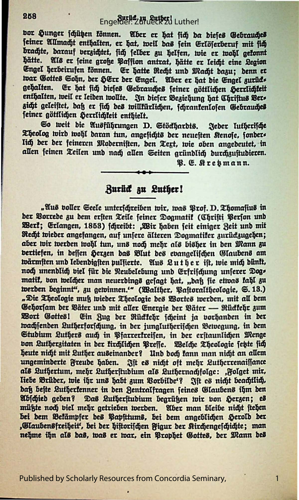## Engelder: Zurueck zu Luther!

bor Hunger schützen können. Aber er hat sich da dieses Gebrauches feiner Allmacht enthalten, er hat, weil das fein Erlöferberuf mit fich brachte, darauf verzichtet, fich felber zu helfen, wie er wohl gefonnt hätte. Als er feine große Paffion antrat, hätte er leicht eine Legion Engel herbeirufen können. Er hatte Recht und Macht dazu; denn er war Gottes Sohn, der HErr der Engel. Aber er hat die Engel zurücks gehalten. Er hat fich diefes Gebrauches feiner göttlichen Herrlichteit enthalten, weil er leiden wollte. In dieser Beziehung hat Christus Bers zicht geleistet, daß er sich des willkürlichen, fchrankenlosen Gebrauches feiner göttlichen Herrlichkeit enthielt.

So weit die Ausführungen D. Stöckhardts. Jeder lutherische Theolog wird wohl daran tun, angefichts der neuesten Renose, fonders lich der der feineren Modernisten, den Tegt, wie oben angedeutet, in allen seinen Teilen und nach allen Seiten gründlich durchzustudieren.

B. E. Kresmann.

1

#### **Burück zu Luther!**

"Aus voller Seele unterschreiben wir, was Prof. D. Thomasius in der Vorrede zu dem ersten Teile seiner Dogmatik (Christi Person und Werf; Erlangen, 1853) fchreibt: ,Wir haben feit einiger Zeit und mit Recht wieder angefangen, auf unsere älteren Dogmatiker zurückzugehen; aber wir werden wohl tun, uns noch mehr als bisher in den Mann zu vertiefen, in deffen Herzen das Blut des evangelischen Glaubens am wärmsten und lebendigsten pulsierte. Aus Luther ist, wie mich dünkt, noch unendlich viel für die Neubelebung und Erfrischung unserer Dogs matik, von welcher man neuerdings gesagt hat, "daß sie etwas kahl zu werden beginnt", zu gewinnen." (Walther, Vastoraltheologie, S. 13.) "Die Theologie muß wieder Theologie des Wortes werden, mit all dem Gehorsam der Väter und mit aller Energie der Väter — Rückkehr zum Wort Gottes! Ein Zug der Rückkehr scheint ja vorhanden in der wachjenden Lutherforschung, in der junglutherischen Bewegung, in dem Studium Luthers auch in Pfarrerkreisen, in der erstaunlichen Menge von Lutherzitaten in der kirchlichen Preffe. Welche Theologie setzte sich heute nicht mit Luther auseinander? Und doch fann man nicht an allem ungeminderte Freude haben. Ift es nicht oft mehr Lutherrenaissance als Luthertum, mehr Lutherstudium als Luthernachfolge: ,Folget mir, liebe Brüder, wie ihr uns habt zum Vorbilde'? Ift es nicht beachtlich, daß beste Lutherkenner in den Zentralfragen seines Glaubens ihm den Abicied aeben? Das Lutherstudium begrüßen wir von Herzen; es müßte noch biel mehr getrieben werben. Aber man bleibe nicht stehen bei dem Bekämpfer des Papsttums, bei dem angeblichen Herold der "Glaubensfreiheit", bei der hiftorischen Figur der Kirchengeschichte; man nehme ihn als bas, was er war, ein Prophet Gottes, der Mann des

Published by Scholarly Resources from Concordia Seminary,

258